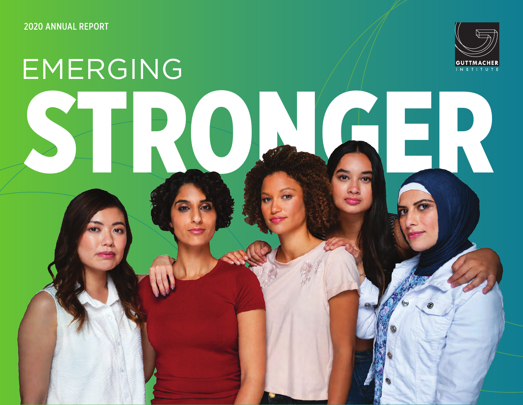2020 ANNUAL REPORT



# RTS STRUCK EMERGING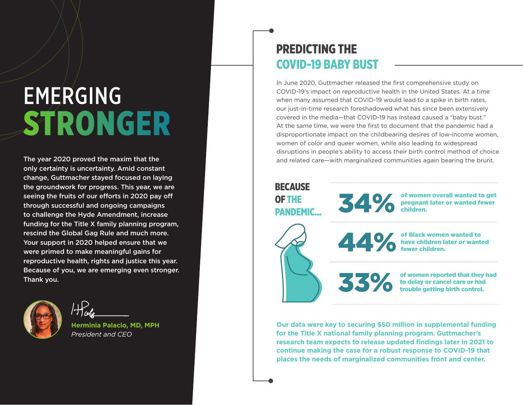# EMERGING STRONGER

The year 2020 proved the maxim that the only certainty is uncertainty. Amid constant change, Guttmacher stayed focused on laying the groundwork for progress. This year, we are seeing the fruits of our efforts in 2020 pay off through successful and ongoing campaigns to challenge the Hyde Amendment, increase funding for the Title X family planning program, rescind the Global Gag Rule and much more. Your support in 2020 helped ensure that we were primed to make meaningful gains for reproductive health, rights and justice this year. Because of you, we are emerging even stronger. Thank you.



*President and CEO*

### PREDICTING THE COVID-19 BABY BUST

In June 2020, Guttmacher released the first comprehensive study on COVID-19's impact on reproductive health in the United States. At a time when many assumed that COVID-19 would lead to a spike in birth rates. our just-in-time research foreshadowed what has since been extensively covered in the media—that COVID-19 has instead caused a "baby bust." At the same time, we were the first to document that the pandemic had a disproportionate impact on the childbearing desires of low-income women, women of color and queer women, while also leading to widespread disruptions in people's ability to access their birth control method of choice and related care—with marginalized communities again bearing the brunt.

#### **BECAUSE**

OF THE PANDEMIC... 34 % of women overall wanted to get<br>regnant later or wanted fewer<br>children. pregnant later or wanted fewer children.

of Black women wanted to<br>have children later or wanted<br>fewer children. have children later or wanted fewer children.

of women reported that they had<br>to delay or cancel care or had<br>trouble getting birth control. to delay or cancel care or had trouble getting birth control.

**Our data were key to securing \$50 million in supplemental funding for the Title X national family planning program. Guttmacher's research team expects to release updated findings later in 2021 to continue making the case for a robust response to COVID-19 that places the needs of marginalized communities front and center.**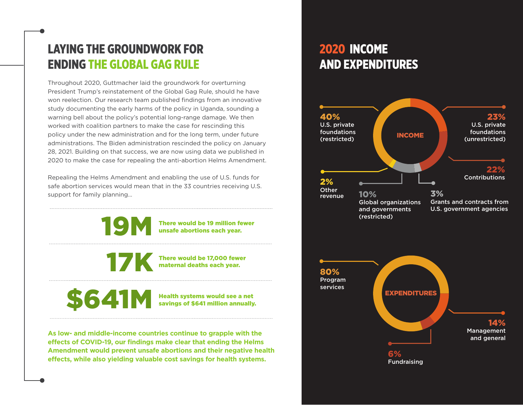# LAYING THE GROUNDWORK FOR ENDING THE GLOBAL GAG RULE

Throughout 2020, Guttmacher laid the groundwork for overturning President Trump's reinstatement of the Global Gag Rule, should he have won reelection. Our research team published findings from an innovative study documenting the early harms of the policy in Uganda, sounding a warning bell about the policy's potential long-range damage. We then worked with coalition partners to make the case for rescinding this policy under the new administration and for the long term, under future administrations. The Biden administration rescinded the policy on January 28, 2021. Building on that success, we are now using data we published in 2020 to make the case for repealing the anti-abortion Helms Amendment.

Repealing the Helms Amendment and enabling the use of U.S. funds for safe abortion services would mean that in the 33 countries receiving U.S. support for family planning…

> There would be 19 million fewer unsafe abortions each year.

There would be 17,000 fewer<br>maternal deaths each year. maternal deaths each year.

**Health systems would see a net** savings of \$641 million annually.

**As low- and middle-income countries continue to grapple with the effects of COVID-19, our findings make clear that ending the Helms Amendment would prevent unsafe abortions and their negative health effects, while also yielding valuable cost savings for health systems.** 

## 2020 INCOME AND EXPENDITURES